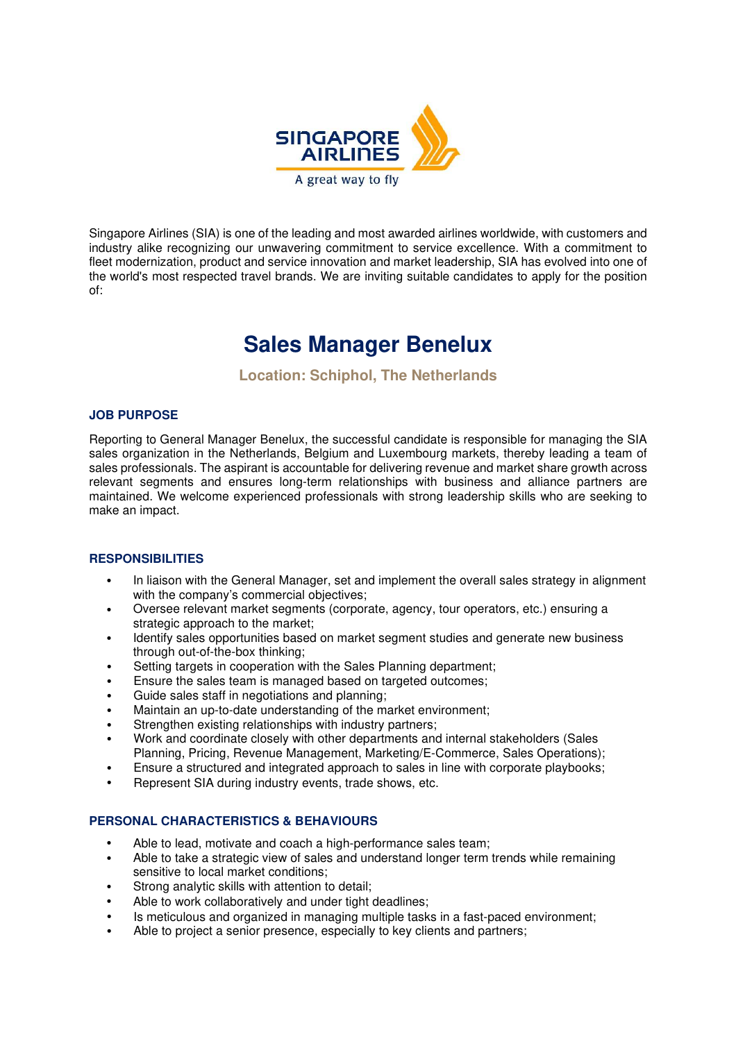

Singapore Airlines (SIA) is one of the leading and most awarded airlines worldwide, with customers and industry alike recognizing our unwavering commitment to service excellence. With a commitment to fleet modernization, product and service innovation and market leadership, SIA has evolved into one of the world's most respected travel brands. We are inviting suitable candidates to apply for the position of:

# **Sales Manager Benelux**

**Location: Schiphol, The Netherlands** 

### **JOB PURPOSE**

Reporting to General Manager Benelux, the successful candidate is responsible for managing the SIA sales organization in the Netherlands, Belgium and Luxembourg markets, thereby leading a team of sales professionals. The aspirant is accountable for delivering revenue and market share growth across relevant segments and ensures long-term relationships with business and alliance partners are maintained. We welcome experienced professionals with strong leadership skills who are seeking to make an impact.

### **RESPONSIBILITIES**

- In liaison with the General Manager, set and implement the overall sales strategy in alignment with the company's commercial objectives;
- Oversee relevant market segments (corporate, agency, tour operators, etc.) ensuring a strategic approach to the market;
- Identify sales opportunities based on market segment studies and generate new business through out-of-the-box thinking;
- Setting targets in cooperation with the Sales Planning department;
- Ensure the sales team is managed based on targeted outcomes;
- Guide sales staff in negotiations and planning;
- Maintain an up-to-date understanding of the market environment;
- Strengthen existing relationships with industry partners;
- Work and coordinate closely with other departments and internal stakeholders (Sales Planning, Pricing, Revenue Management, Marketing/E-Commerce, Sales Operations);
- Ensure a structured and integrated approach to sales in line with corporate playbooks;
- Represent SIA during industry events, trade shows, etc.

### **PERSONAL CHARACTERISTICS & BEHAVIOURS**

- Able to lead, motivate and coach a high-performance sales team;
- Able to take a strategic view of sales and understand longer term trends while remaining sensitive to local market conditions;
- Strong analytic skills with attention to detail;
- Able to work collaboratively and under tight deadlines:
- Is meticulous and organized in managing multiple tasks in a fast-paced environment;
- Able to project a senior presence, especially to key clients and partners;